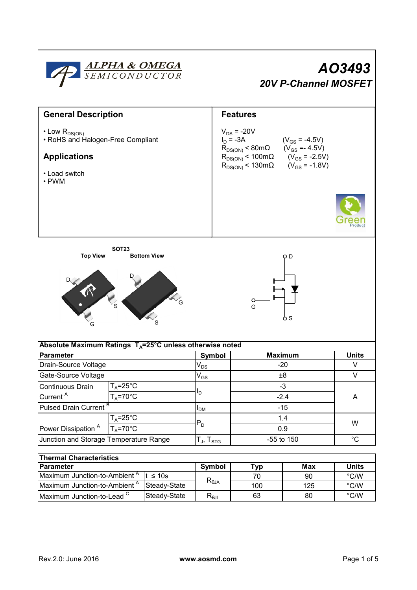

| <b>Thermal Characteristics</b>                             |                        |            |     |               |  |  |  |  |  |
|------------------------------------------------------------|------------------------|------------|-----|---------------|--|--|--|--|--|
| <b>IParameter</b>                                          | Symbol                 | Max<br>Typ |     | <b>Units</b>  |  |  |  |  |  |
| Maximum Junction-to-Ambient <sup>A</sup><br>It $\leq 10$ s |                        | 70         | 90  | $\degree$ C/W |  |  |  |  |  |
| Maximum Junction-to-Ambient <sup>"</sup><br>Steady-State   | $R_{\theta$ JA         | 100        | 125 | $\degree$ C/W |  |  |  |  |  |
| Maximum Junction-to-Lead <sup>C</sup><br>Steady-State      | $R_{\theta \text{JL}}$ | 63         | 80  | $\degree$ C/W |  |  |  |  |  |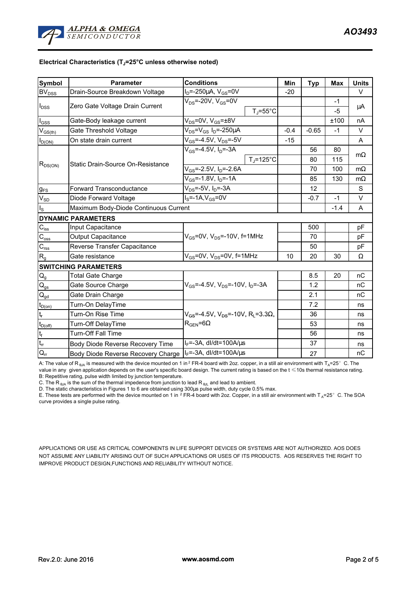

## **Electrical Characteristics (TJ=25°C unless otherwise noted)**

| Symbol                            | <b>Parameter</b>                      | <b>Conditions</b>                                      | Min    | <b>Typ</b> | <b>Max</b> | <b>Units</b> |  |  |  |
|-----------------------------------|---------------------------------------|--------------------------------------------------------|--------|------------|------------|--------------|--|--|--|
| <b>BV</b> <sub>DSS</sub>          | Drain-Source Breakdown Voltage        | $I_D$ =-250µA, $V_{GS}$ =0V                            | $-20$  |            |            | V            |  |  |  |
| $I_{DSS}$                         | Zero Gate Voltage Drain Current       | $V_{DS}$ =-20V, $V_{GS}$ =0V                           |        |            | $-1$       |              |  |  |  |
|                                   |                                       | $T_{\rm J}$ =55°C                                      |        |            | $-5$       | μA           |  |  |  |
| $\mathsf{I}_{\mathsf{GSS}}$       | Gate-Body leakage current             | $\overline{V_{DS}}$ =0V, V <sub>GS</sub> =±8V          |        |            | ±100       | nA           |  |  |  |
| $V_{GS(th)}$                      | Gate Threshold Voltage                | $V_{DS} = V_{GS} I_D = -250 \mu A$                     | $-0.4$ | $-0.65$    | $-1$       | $\vee$       |  |  |  |
| $I_{D(ON)}$                       | On state drain current                | $V_{GS} = -4.5V$ , $V_{DS} = -5V$                      | $-15$  |            |            | A            |  |  |  |
| $R_{DS(ON)}$                      | Static Drain-Source On-Resistance     | $V_{GS} = -4.5V, I_D = -3A$                            |        | 56         | 80         | $m\Omega$    |  |  |  |
|                                   |                                       | $T_J = 125$ °C                                         |        | 80         | 115        |              |  |  |  |
|                                   |                                       | $V_{GS}$ =-2.5V, $I_{D}$ =-2.6A                        |        | 70         | 100        | $m\Omega$    |  |  |  |
|                                   |                                       | $V_{GS}$ =-1.8V, $I_D$ =-1A                            |        | 85         | 130        | $m\Omega$    |  |  |  |
| $g_{FS}$                          | Forward Transconductance              | $V_{DS}$ =-5V, $I_D$ =-3A                              |        | 12         |            | S            |  |  |  |
| $\mathsf{V}_{\mathsf{SD}}$        | Diode Forward Voltage                 | $IS=-1A,VGS=0V$                                        |        | $-0.7$     | $-1$       | $\vee$       |  |  |  |
| $I_{\rm S}$                       | Maximum Body-Diode Continuous Current |                                                        |        |            | $-1.4$     | A            |  |  |  |
|                                   | <b>DYNAMIC PARAMETERS</b>             |                                                        |        |            |            |              |  |  |  |
| $C_{\text{iss}}$                  | Input Capacitance                     |                                                        |        | 500        |            | pF           |  |  |  |
| $\mathsf{C}_{\mathrm{oss}}$       | <b>Output Capacitance</b>             | $V_{GS}$ =0V, $V_{DS}$ =-10V, f=1MHz                   |        | 70         |            | pF           |  |  |  |
| $C_{\rm rss}$                     | Reverse Transfer Capacitance          |                                                        |        | 50         |            | pF           |  |  |  |
| $R_{g}$                           | Gate resistance                       | $V_{GS}$ =0V, $V_{DS}$ =0V, f=1MHz                     | 10     | 20         | 30         | $\Omega$     |  |  |  |
| <b>SWITCHING PARAMETERS</b>       |                                       |                                                        |        |            |            |              |  |  |  |
| $\mathsf{Q}_{\mathsf{g}}$         | <b>Total Gate Charge</b>              |                                                        |        | 8.5        | 20         | nC           |  |  |  |
| $Q_{gs}$                          | Gate Source Charge                    | $V_{GS}$ =-4.5V, $V_{DS}$ =-10V, $I_D$ =-3A            |        | 1.2        |            | nC           |  |  |  |
| $\mathsf{Q}_{\mathsf{gd}}$        | Gate Drain Charge                     |                                                        |        | 2.1        |            | nC           |  |  |  |
| $t_{D(on)}$                       | Turn-On DelayTime                     |                                                        |        | 7.2        |            | ns           |  |  |  |
| t,                                | Turn-On Rise Time                     | $V_{GS}$ =-4.5V, $V_{DS}$ =-10V, R <sub>i</sub> =3.3Ω, |        | 36         |            | ns           |  |  |  |
| $t_{D(off)}$                      | Turn-Off DelayTime                    | $R_{\text{GEN}} = 6\Omega$                             |        | 53         |            | ns           |  |  |  |
| $\mathsf{t}_{\mathsf{f}}$         | Turn-Off Fall Time                    |                                                        |        | 56         |            | ns           |  |  |  |
| $t_{rr}$                          | Body Diode Reverse Recovery Time      | $I_F$ =-3A, dl/dt=100A/ $\mu$ s                        |        | 37         |            | ns           |  |  |  |
| $\overline{\mathsf{Q}}_\text{rr}$ | Body Diode Reverse Recovery Charge    | $I_F$ =-3A, dl/dt=100A/ $\mu$ s                        |        | 27         |            | nC           |  |  |  |

A: The value of R<sub>BJA</sub> is measured with the device mounted on 1 in <sup>2</sup> FR-4 board with 2oz. copper, in a still air environment with T<sub>A</sub>=25°C. The value in any given application depends on the user's specific board design. The current rating is based on the t ≤10s thermal resistance rating. B: Repetitive rating, pulse width limited by junction temperature.

C. The R<sub> $_{\theta$ JA</sub> is the sum of the thermal impedence from junction to lead R<sub> $_{\theta$ JL</sub> and lead to ambient.

D. The static characteristics in Figures 1 to 6 are obtained using 300us pulse width, duty cycle 0.5% max.

E. These tests are performed with the device mounted on 1 in <sup>2</sup> FR-4 board with 2oz. Copper, in a still air environment with T<sub>A</sub>=25°C. The SOA curve provides a single pulse rating.

APPLICATIONS OR USE AS CRITICAL COMPONENTS IN LIFE SUPPORT DEVICES OR SYSTEMS ARE NOT AUTHORIZED. AOS DOES NOT ASSUME ANY LIABILITY ARISING OUT OF SUCH APPLICATIONS OR USES OF ITS PRODUCTS. AOS RESERVES THE RIGHT TO IMPROVE PRODUCT DESIGN,FUNCTIONS AND RELIABILITY WITHOUT NOTICE.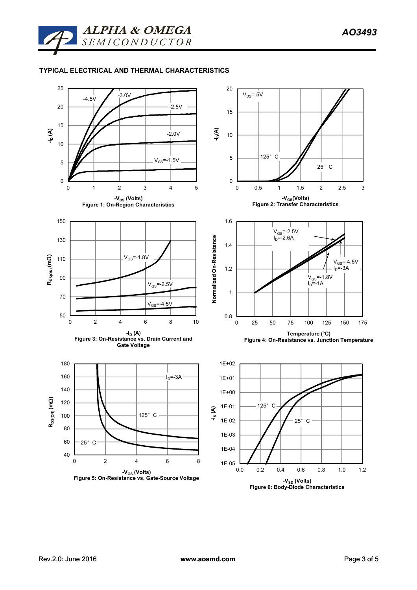

## **TYPICAL ELECTRICAL AND THERMAL CHARACTERISTICS**

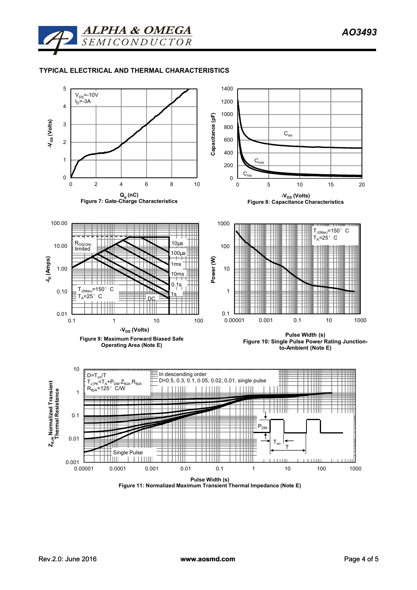

## **TYPICAL ELECTRICAL AND THERMAL CHARACTERISTICS**